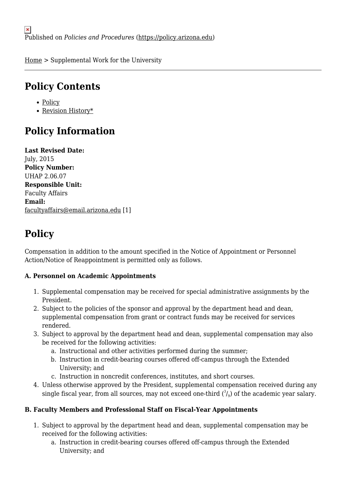[Home](https://policy.arizona.edu/) > Supplemental Work for the University

## **Policy Contents**

- [Policy](#page-0-0)
- [Revision History\\*](#page-1-0)

## **Policy Information**

**Last Revised Date:**  July, 2015 **Policy Number:**  UHAP 2.06.07 **Responsible Unit:**  Faculty Affairs **Email:**  [facultyaffairs@email.arizona.edu](mailto:facultyaffairs@email.arizona.edu) [1]

## <span id="page-0-0"></span>**Policy**

Compensation in addition to the amount specified in the Notice of Appointment or Personnel Action/Notice of Reappointment is permitted only as follows.

### **A. Personnel on Academic Appointments**

- 1. Supplemental compensation may be received for special administrative assignments by the President.
- 2. Subject to the policies of the sponsor and approval by the department head and dean, supplemental compensation from grant or contract funds may be received for services rendered.
- 3. Subject to approval by the department head and dean, supplemental compensation may also be received for the following activities:
	- a. Instructional and other activities performed during the summer;
	- b. Instruction in credit-bearing courses offered off-campus through the Extended University; and
	- c. Instruction in noncredit conferences, institutes, and short courses.
- 4. Unless otherwise approved by the President, supplemental compensation received during any single fiscal year, from all sources, may not exceed one-third  $({}^3\!/_9)$  of the academic year salary.

### **B. Faculty Members and Professional Staff on Fiscal-Year Appointments**

- 1. Subject to approval by the department head and dean, supplemental compensation may be received for the following activities:
	- a. Instruction in credit-bearing courses offered off-campus through the Extended University; and